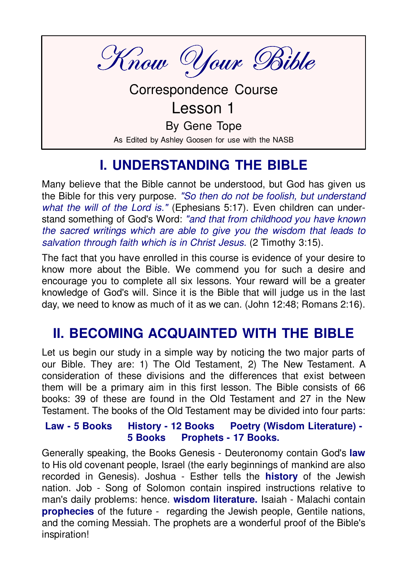Know Your Bible

**Correspondence Course** Lesson 1 By Gene Tope As Edited by Ashley Goosen for use with the NASB

## **I. UNDERSTANDING THE BIBLE**

Many believe that the Bible cannot be understood, but God has given us the Bible for this very purpose. "So then do not be foolish, but understand what the will of the Lord is." (Ephesians 5:17). Even children can understand something of God's Word: "and that from childhood you have known the sacred writings which are able to give you the wisdom that leads to salvation through faith which is in Christ Jesus. (2 Timothy 3:15).

The fact that you have enrolled in this course is evidence of your desire to know more about the Bible. We commend you for such a desire and encourage you to complete all six lessons. Your reward will be a greater knowledge of God's will. Since it is the Bible that will judge us in the last day, we need to know as much of it as we can. (John 12:48; Romans 2:16).

## **II. BECOMING ACQUAINTED WITH THE BIBLE**

Let us begin our study in a simple way by noticing the two major parts of our Bible. They are: 1) The Old Testament, 2) The New Testament. A consideration of these divisions and the differences that exist between them will be a primary aim in this first lesson. The Bible consists of 66 books: 39 of these are found in the Old Testament and 27 in the New Testament. The books of the Old Testament may be divided into four parts:

#### **History - 12 Books** Poetry (Wisdom Literature) -Law - 5 Books 5 Books Prophets - 17 Books.

Generally speaking, the Books Genesis - Deuteronomy contain God's law to His old covenant people, Israel (the early beginnings of mankind are also recorded in Genesis). Joshua - Esther tells the **history** of the Jewish nation. Job - Song of Solomon contain inspired instructions relative to man's daily problems: hence. wisdom literature. Isaiah - Malachi contain **prophecies** of the future - regarding the Jewish people. Gentile nations, and the coming Messiah. The prophets are a wonderful proof of the Bible's inspiration!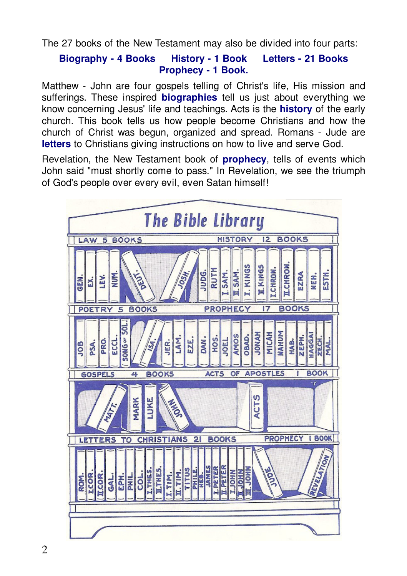The 27 books of the New Testament may also be divided into four parts:

#### **History - 1 Book Biography - 4 Books Letters - 21 Books Prophecy - 1 Book.**

Matthew - John are four gospels telling of Christ's life. His mission and sufferings. These inspired **biographies** tell us just about everything we know concerning Jesus' life and teachings. Acts is the **history** of the early church. This book tells us how people become Christians and how the church of Christ was begun, organized and spread. Romans - Jude are letters to Christians giving instructions on how to live and serve God.

Revelation, the New Testament book of **prophecy**, tells of events which John said "must shortly come to pass." In Revelation, we see the triumph of God's people over every evil, even Satan himself!

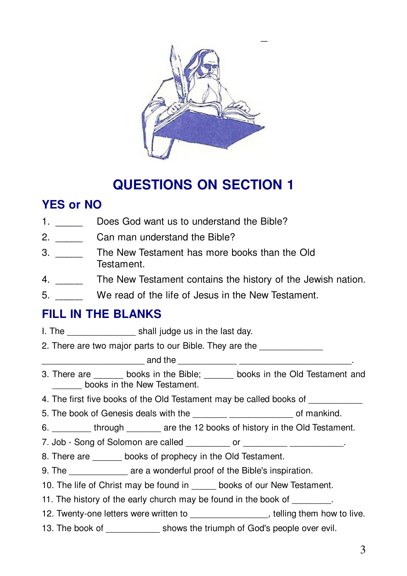

# **QUESTIONS ON SECTION 1**

## **YES or NO**

- 1. Does God want us to understand the Bible?
- $2.$ Can man understand the Bible?
- $3.$ The New Testament has more books than the Old Testament.
- 4. The New Testament contains the history of the Jewish nation.
- 5. We read of the life of Jesus in the New Testament.

### **FILL IN THE BLANKS**

- 
- 2. There are two major parts to our Bible. They are the

and the state of the state of the state of the state of the state of the state of the state of the state of the

- 3. There are books in the Bible; books in the Old Testament and books in the New Testament.
- 4. The first five books of the Old Testament may be called books of
- 5. The book of Genesis deals with the \_\_\_\_\_\_\_\_\_\_\_\_\_\_\_\_\_\_\_\_\_\_\_\_\_\_\_\_\_\_\_\_ of mankind.
- 6. through are the 12 books of history in the Old Testament.
- 7. Job Song of Solomon are called \_\_\_\_\_\_\_\_\_\_\_ or \_\_\_\_\_\_\_\_\_\_ \_\_\_\_\_\_\_\_\_\_\_.
- 8. There are books of prophecy in the Old Testament.
- 9. The \_\_\_\_\_\_\_\_\_\_\_\_\_\_\_\_ are a wonderful proof of the Bible's inspiration.
- 10. The life of Christ may be found in books of our New Testament.
- 11. The history of the early church may be found in the book of
- 12. Twenty-one letters were written to \_\_\_\_\_\_\_\_\_\_\_\_\_\_\_\_\_\_\_\_, telling them how to live.
- 13. The book of shows the triumph of God's people over evil.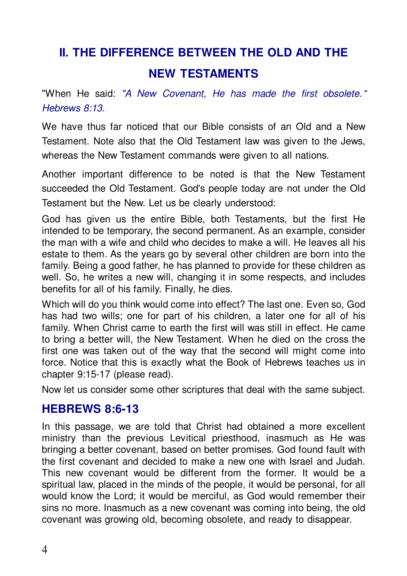# **II. THE DIFFERENCE BETWEEN THE OLD AND THE NEW TESTAMENTS**

"When He said: "A New Covenant. He has made the first obsolete." Hebrews 8:13.

We have thus far noticed that our Bible consists of an Old and a New Testament. Note also that the Old Testament law was given to the Jews. whereas the New Testament commands were given to all nations.

Another important difference to be noted is that the New Testament succeeded the Old Testament. God's people today are not under the Old Testament but the New. Let us be clearly understood:

God has given us the entire Bible, both Testaments, but the first He intended to be temporary, the second permanent. As an example, consider the man with a wife and child who decides to make a will. He leaves all his estate to them. As the years go by several other children are born into the family. Being a good father, he has planned to provide for these children as well. So, he writes a new will, changing it in some respects, and includes benefits for all of his family. Finally, he dies.

Which will do you think would come into effect? The last one. Even so, God has had two wills; one for part of his children, a later one for all of his family. When Christ came to earth the first will was still in effect. He came to bring a better will, the New Testament. When he died on the cross the first one was taken out of the way that the second will might come into force. Notice that this is exactly what the Book of Hebrews teaches us in chapter 9:15-17 (please read).

Now let us consider some other scriptures that deal with the same subject.

### **HEBREWS 8:6-13**

In this passage, we are told that Christ had obtained a more excellent ministry than the previous Levitical priesthood, inasmuch as He was bringing a better covenant, based on better promises. God found fault with the first covenant and decided to make a new one with Israel and Judah. This new covenant would be different from the former. It would be a spiritual law, placed in the minds of the people, it would be personal, for all would know the Lord; it would be merciful, as God would remember their sins no more. Inasmuch as a new covenant was coming into being, the old covenant was growing old, becoming obsolete, and ready to disappear.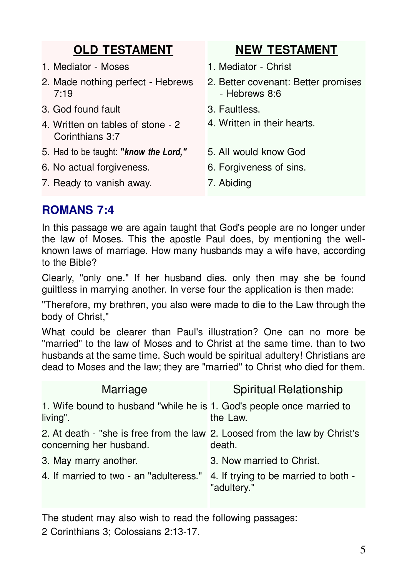| <b>OLD TESTAMENT</b>                                 | <b>NEW TESTAMENT</b>                                 |
|------------------------------------------------------|------------------------------------------------------|
| 1. Mediator - Moses                                  | 1. Mediator - Christ                                 |
| 2. Made nothing perfect - Hebrews<br>7:19            | 2. Better covenant: Better promises<br>- Hebrews 8:6 |
| 3. God found fault                                   | 3. Faultless.                                        |
| 4. Written on tables of stone - 2<br>Corinthians 3:7 | 4. Written in their hearts.                          |
| 5. Had to be taught: "know the Lord,"                | 5. All would know God                                |
| 6. No actual forgiveness.                            | 6. Forgiveness of sins.                              |
| 7. Ready to vanish away.                             | 7. Abiding                                           |

## **ROMANS 7:4**

In this passage we are again taught that God's people are no longer under the law of Moses. This the apostle Paul does, by mentioning the wellknown laws of marriage. How many husbands may a wife have, according to the Bible?

Clearly, "only one." If her husband dies. only then may she be found guiltless in marrying another. In verse four the application is then made:

"Therefore, my brethren, you also were made to die to the Law through the body of Christ,"

What could be clearer than Paul's illustration? One can no more be "married" to the law of Moses and to Christ at the same time. than to two husbands at the same time. Such would be spiritual adultery! Christians are dead to Moses and the law; they are "married" to Christ who died for them.

| Marriage                                                                                              | Spiritual Relationship                              |
|-------------------------------------------------------------------------------------------------------|-----------------------------------------------------|
| 1. Wife bound to husband "while he is 1. God's people once married to<br>living".                     | the Law.                                            |
| 2. At death - "she is free from the law 2. Loosed from the law by Christ's<br>concerning her husband. | death.                                              |
| 3. May marry another.                                                                                 | 3. Now married to Christ.                           |
| 4. If married to two - an "adulteress."                                                               | 4. If trying to be married to both -<br>"adultery." |

The student may also wish to read the following passages:

2 Corinthians 3; Colossians 2:13-17.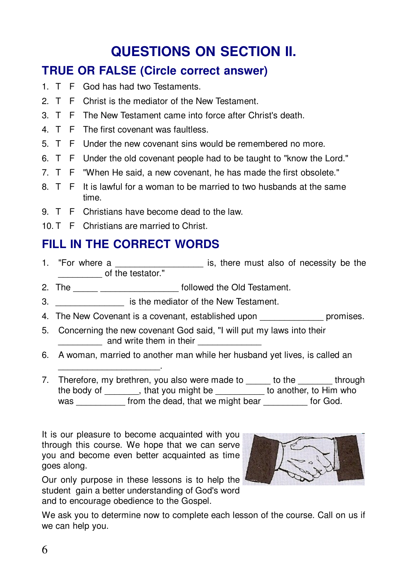# **QUESTIONS ON SECTION II.**

## **TRUE OR FALSE (Circle correct answer)**

- 1. T F God has had two Testaments.
- 2 T F Christ is the mediator of the New Testament
- 3 T F The New Testament came into force after Christ's death
- 4 T F The first covenant was faultless
- 5. T F Under the new covenant sins would be remembered no more.
- 6. T F Under the old covenant people had to be taught to "know the Lord."
- 7. T F "When He said, a new covenant, he has made the first obsolete."
- 8. T F It is lawful for a woman to be married to two husbands at the same time.
- 9. T F Christians have become dead to the law.
- 10. T F Christians are married to Christ.

## FILL IN THE CORRECT WORDS

- is, there must also of necessity be the 1. "For where a of the testator."
- 2. The \_\_\_\_\_\_\_ \_\_\_\_\_\_\_\_\_\_\_\_\_\_ followed the Old Testament.
- 3. Similar is the mediator of the New Testament.
- 4. The New Covenant is a covenant, established upon example promises.
- 5. Concerning the new covenant God said, "I will put my laws into their and write them in their **container** and write them in their
- 6. A woman, married to another man while her husband yet lives, is called an
- 7. Therefore, my brethren, you also were made to to the through the body of \_\_\_\_\_\_\_\_, that you might be \_\_\_\_\_\_\_\_\_\_\_ to another, to Him who was from the dead, that we might bear for God.

It is our pleasure to become acquainted with you through this course. We hope that we can serve you and become even better acquainted as time goes along.



Our only purpose in these lessons is to help the student gain a better understanding of God's word and to encourage obedience to the Gospel.

We ask you to determine now to complete each lesson of the course. Call on us if we can help you.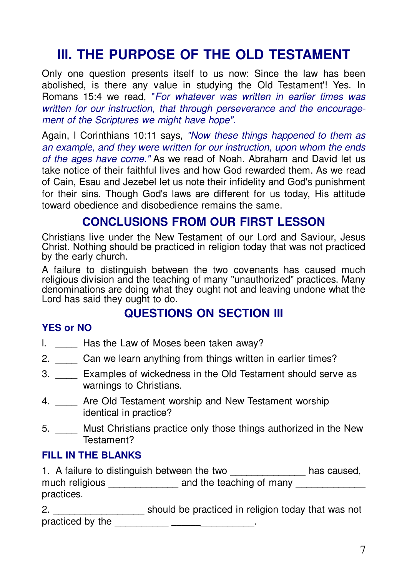## III. THE PURPOSE OF THE OLD TESTAMENT

Only one question presents itself to us now: Since the law has been abolished, is there any value in studying the Old Testament'! Yes. In Romans 15:4 we read. "For whatever was written in earlier times was written for our instruction, that through perseverance and the encouragement of the Scriptures we might have hope".

Again, I Corinthians 10:11 says, "Now these things happened to them as an example, and they were written for our instruction, upon whom the ends of the ages have come." As we read of Noah. Abraham and David let us take notice of their faithful lives and how God rewarded them. As we read of Cain, Esau and Jezebel let us note their infidelity and God's punishment for their sins. Though God's laws are different for us today, His attitude toward obedience and disobedience remains the same.

### **CONCLUSIONS FROM OUR FIRST LESSON**

Christians live under the New Testament of our Lord and Saviour. Jesus Christ. Nothing should be practiced in religion today that was not practiced by the early church.

A failure to distinguish between the two covenants has caused much religious division and the teaching of many "unauthorized" practices. Many denominations are doing what they ought not and leaving undone what the Lord has said they ought to do.

### QUESTIONS ON SECTION III

#### **YES or NO**

- I. Has the Law of Moses been taken away?
- 2. Can we learn anything from things written in earlier times?
- 3. Examples of wickedness in the Old Testament should serve as warnings to Christians.
- 4. \_\_\_\_ Are Old Testament worship and New Testament worship identical in practice?
- 5. Must Christians practice only those things authorized in the New Testament?

#### **FILL IN THE BLANKS**

1. A failure to distinguish between the two \_\_\_\_\_\_\_\_\_\_\_\_\_\_ has caused, practices.

2. \_\_\_\_\_\_\_\_\_\_\_\_\_\_\_\_\_\_\_\_\_\_\_ should be practiced in religion today that was not